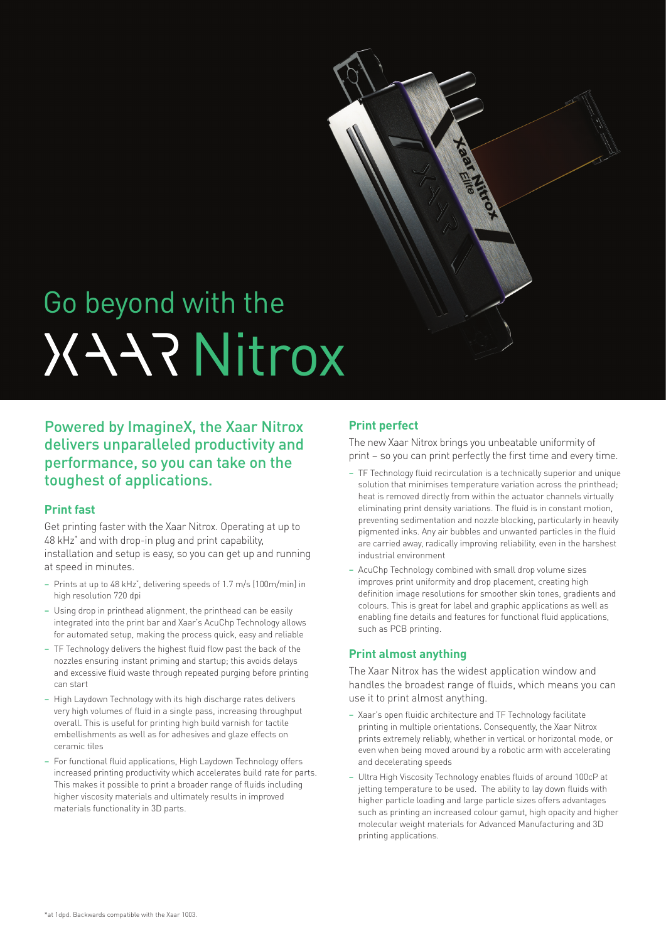

# **XAAR Nitrox** Go beyond with the

# Powered by ImagineX, the Xaar Nitrox delivers unparalleled productivity and performance, so you can take on the toughest of applications.

### **Print fast**

Get printing faster with the Xaar Nitrox. Operating at up to 48 kHz\* and with drop-in plug and print capability, installation and setup is easy, so you can get up and running at speed in minutes.

- Prints at up to 48 kHz\* , delivering speeds of 1.7 m/s (100m/min) in high resolution 720 dpi
- Using drop in printhead alignment, the printhead can be easily integrated into the print bar and Xaar's AcuChp Technology allows for automated setup, making the process quick, easy and reliable
- TF Technology delivers the highest fluid flow past the back of the nozzles ensuring instant priming and startup; this avoids delays and excessive fluid waste through repeated purging before printing can start
- High Laydown Technology with its high discharge rates delivers very high volumes of fluid in a single pass, increasing throughput overall. This is useful for printing high build varnish for tactile embellishments as well as for adhesives and glaze effects on ceramic tiles
- For functional fluid applications, High Laydown Technology offers increased printing productivity which accelerates build rate for parts. This makes it possible to print a broader range of fluids including higher viscosity materials and ultimately results in improved materials functionality in 3D parts.

# **Print perfect**

The new Xaar Nitrox brings you unbeatable uniformity of print – so you can print perfectly the first time and every time.

- TF Technology fluid recirculation is a technically superior and unique solution that minimises temperature variation across the printhead; heat is removed directly from within the actuator channels virtually eliminating print density variations. The fluid is in constant motion, preventing sedimentation and nozzle blocking, particularly in heavily pigmented inks. Any air bubbles and unwanted particles in the fluid are carried away, radically improving reliability, even in the harshest industrial environment
- AcuChp Technology combined with small drop volume sizes improves print uniformity and drop placement, creating high definition image resolutions for smoother skin tones, gradients and colours. This is great for label and graphic applications as well as enabling fine details and features for functional fluid applications, such as PCB printing.

## **Print almost anything**

The Xaar Nitrox has the widest application window and handles the broadest range of fluids, which means you can use it to print almost anything.

- Xaar's open fluidic architecture and TF Technology facilitate printing in multiple orientations. Consequently, the Xaar Nitrox prints extremely reliably, whether in vertical or horizontal mode, or even when being moved around by a robotic arm with accelerating and decelerating speeds
- Ultra High Viscosity Technology enables fluids of around 100cP at jetting temperature to be used. The ability to lay down fluids with higher particle loading and large particle sizes offers advantages such as printing an increased colour gamut, high opacity and higher molecular weight materials for Advanced Manufacturing and 3D printing applications.